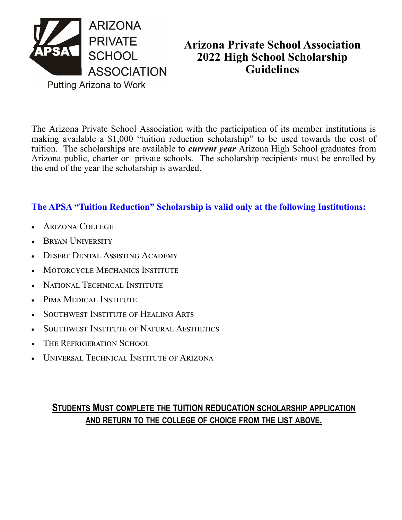

## **Arizona Private School Association 2022 High School Scholarship Guidelines**

The Arizona Private School Association with the participation of its member institutions is making available a \$1,000 "tuition reduction scholarship" to be used towards the cost of tuition. The scholarships are available to *current year* Arizona High School graduates from Arizona public, charter or private schools. The scholarship recipients must be enrolled by the end of the year the scholarship is awarded.

## **The APSA "Tuition Reduction" Scholarship is valid only at the following Institutions:**

- Arizona College
- Bryan University
- Desert Dental Assisting Academy
- **MOTORCYCLE MECHANICS INSTITUTE**
- National Technical Institute
- PIMA MEDICAL INSTITUTE
- SOUTHWEST INSTITUTE OF HEALING ARTS
- SOUTHWEST INSTITUTE OF NATURAL AESTHETICS
- THE REFRIGERATION SCHOOL
- UNIVERSAL TECHNICAL INSTITUTE OF ARIZONA

## **STUDENTS MUST COMPLETE THE TUITION REDUCATION SCHOLARSHIP APPLICATION AND RETURN TO THE COLLEGE OF CHOICE FROM THE LIST ABOVE.**